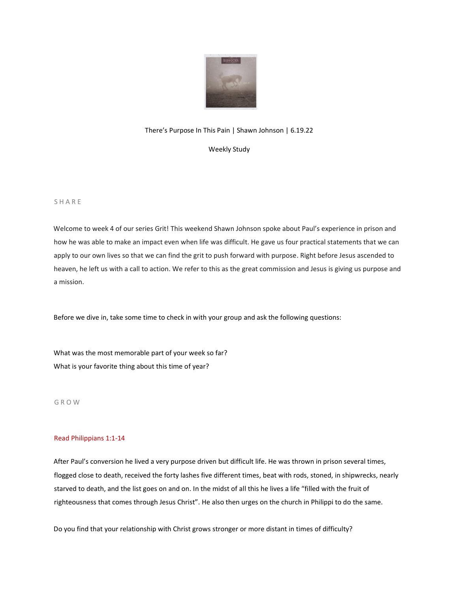

# There's Purpose In This Pain | Shawn Johnson | 6.19.22

Weekly Study

#### S H A R E

Welcome to week 4 of our series Grit! This weekend Shawn Johnson spoke about Paul's experience in prison and how he was able to make an impact even when life was difficult. He gave us four practical statements that we can apply to our own lives so that we can find the grit to push forward with purpose. Right before Jesus ascended to heaven, he left us with a call to action. We refer to this as the great commission and Jesus is giving us purpose and a mission.

Before we dive in, take some time to check in with your group and ask the following questions:

What was the most memorable part of your week so far? What is your favorite thing about this time of year?

G R O W

### Read Philippians 1:1-14

After Paul's conversion he lived a very purpose driven but difficult life. He was thrown in prison several times, flogged close to death, received the forty lashes five different times, beat with rods, stoned, in shipwrecks, nearly starved to death, and the list goes on and on. In the midst of all this he lives a life "filled with the fruit of righteousness that comes through Jesus Christ". He also then urges on the church in Philippi to do the same.

Do you find that your relationship with Christ grows stronger or more distant in times of difficulty?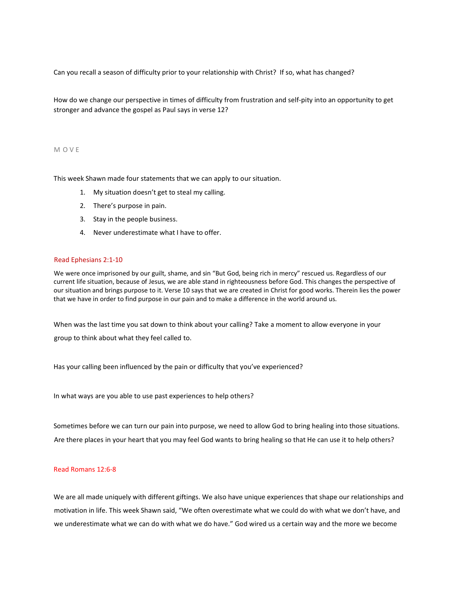Can you recall a season of difficulty prior to your relationship with Christ? If so, what has changed?

How do we change our perspective in times of difficulty from frustration and self-pity into an opportunity to get stronger and advance the gospel as Paul says in verse 12?

#### M O V E

This week Shawn made four statements that we can apply to our situation.

- 1. My situation doesn't get to steal my calling.
- 2. There's purpose in pain.
- 3. Stay in the people business.
- 4. Never underestimate what I have to offer.

#### Read Ephesians 2:1-10

We were once imprisoned by our guilt, shame, and sin "But God, being rich in mercy" rescued us. Regardless of our current life situation, because of Jesus, we are able stand in righteousness before God. This changes the perspective of our situation and brings purpose to it. Verse 10 says that we are created in Christ for good works. Therein lies the power that we have in order to find purpose in our pain and to make a difference in the world around us.

When was the last time you sat down to think about your calling? Take a moment to allow everyone in your group to think about what they feel called to.

Has your calling been influenced by the pain or difficulty that you've experienced?

In what ways are you able to use past experiences to help others?

Sometimes before we can turn our pain into purpose, we need to allow God to bring healing into those situations. Are there places in your heart that you may feel God wants to bring healing so that He can use it to help others?

## Read Romans 12:6-8

We are all made uniquely with different giftings. We also have unique experiences that shape our relationships and motivation in life. This week Shawn said, "We often overestimate what we could do with what we don't have, and we underestimate what we can do with what we do have." God wired us a certain way and the more we become